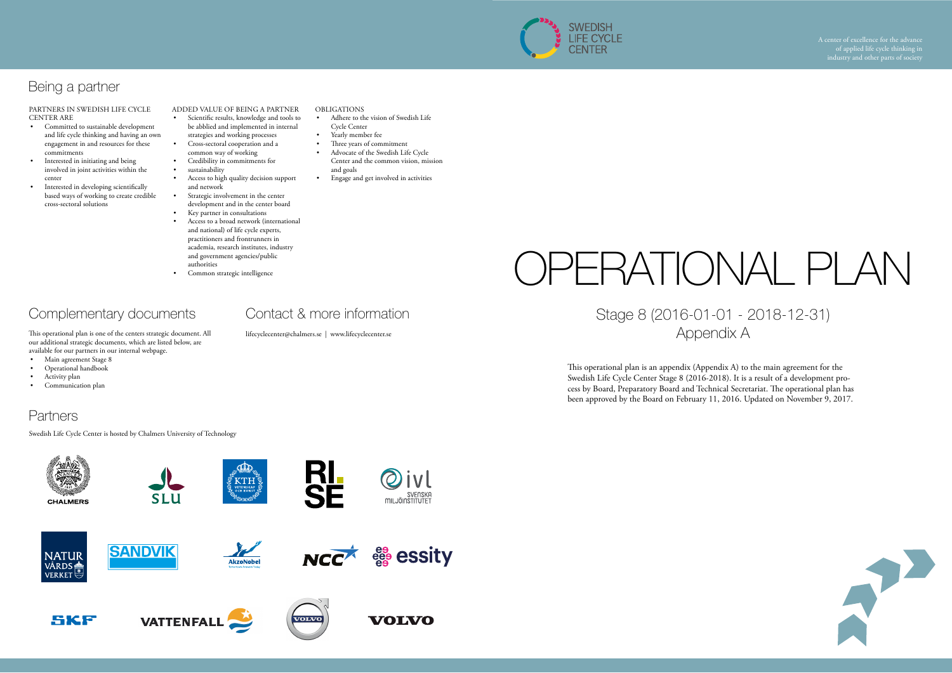# OPERATIONAL PLAN Stage 8 (2016-01-01 - 2018-12-31) Appendix A



This operational plan is an appendix (Appendix A) to the main agreement for the Swedish Life Cycle Center Stage 8 (2016-2018). It is a result of a development process by Board, Preparatory Board and Technical Secretariat. The operational plan has been approved by the Board on February 11, 2016. Updated on November 9, 2017.

PARTNERS IN SWEDISH LIFE CYCLE CENTER ARE

- Committed to sustainable development and life cycle thinking and having an own engagement in and resources for these commitments
- Interested in initiating and being involved in joint activities within the center
- Interested in developing scientifically based ways of working to create credible cross-sectoral solutions

## Complementary documents

This operational plan is one of the centers strategic document. All our additional strategic documents, which are listed below, are available for our partners in our internal webpage.

- Main agreement Stage 8
- Operational handbook
- Activity plan
- Communication plan

### **Partners**

- Three years of commitment
- Advocate of the Swedish Life Cycle Center and the common vision, mission and goals
- Engage and get involved in activities

Swedish Life Cycle Center is hosted by Chalmers University of Technology



Contact & more information

lifecyclecenter@chalmers.se | www.lifecyclecenter.se

#### ADDED VALUE OF BEING A PARTNER

- Scientific results, knowledge and tools to be abblied and implemented in internal
- strategies and working processes • Cross-sectoral cooperation and a
- common way of working
- Credibility in commitments for • sustainability
- Access to high quality decision support
- and network Strategic involvement in the center
- development and in the center board
- Key partner in consultations
- Access to a broad network (international and national) of life cycle experts, practitioners and frontrunners in academia, research institutes, industry and government agencies/public authorities
- Common strategic intelligence

### OBLIGATIONS

- Adhere to the vision of Swedish Life Cycle Center
- Yearly member fee



## Being a partner